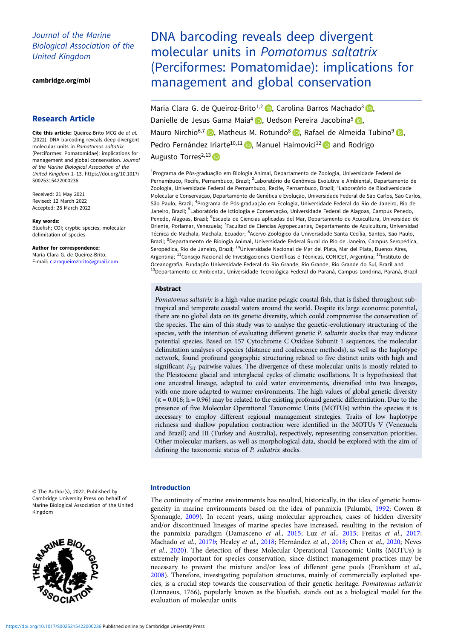# Journal of the Marine Biological Association of the United Kingdom

[cambridge.org/mbi](https://www.cambridge.org/mbi)

# Research Article

Cite this article: Queiroz-Brito MCG de et al. (2022). DNA barcoding reveals deep divergent molecular units in Pomatomus saltatrix (Perciformes: Pomatomidae): implications for management and global conservation. Journal of the Marine Biological Association of the United Kingdom 1–13. [https://doi.org/10.1017/](https://doi.org/10.1017/S0025315422000236) [S0025315422000236](https://doi.org/10.1017/S0025315422000236)

Received: 21 May 2021 Revised: 12 March 2022 Accepted: 28 March 2022

#### Key words:

Bluefish; COI; cryptic species; molecular delimitation of species

Author for correspondence: Maria Clara G. de Queiroz-Brito, E-mail: [claraqueirozbrito@gmail.com](mailto:claraqueirozbrito@gmail.com)

#### © The Author(s), 2022. Published by Cambridge University Press on behalf of Marine Biological Association of the United Kingdom



DNA barcoding reveals deep divergent molecular units in Pomatomus saltatrix (Perciformes: Pomatomidae): implications for management and global conservation

Maria Clara G. de Queiroz-Brito<sup>1,2</sup> D. Carolina Barros Machado<sup>3</sup> D. Danielle de Jesus Gama Maia<sup>4</sup> D, Uedson Pereira Jacobina<sup>5</sup> D, Mauro Nirchio<sup>6[,](https://orcid.org/0000-0003-1886-5320)7</sup> , Matheus M. Rotundo<sup>8</sup> , Rafael de Almeida Tubino<sup>9</sup> **D**, Pedro Fernández Iriarte<sup>10,11</sup> **b**, Manuel Haimovici<sup>12</sup> **b** and Rodrigo Augusto Torres<sup>2,13</sup>

<sup>1</sup>Programa de Pós-graduação em Biologia Animal, Departamento de Zoologia, Universidade Federal de Pernambuco, Recife, Pernambuco, Brazil; <sup>2</sup>Laboratório de Genômica Evolutiva e Ambiental, Departamento de Zoologia, Universidade Federal de Pernambuco, Recife, Pernambuco, Brazil; <sup>3</sup>Laboratório de Biodiversidade Molecular e Conservação, Departamento de Genética e Evolução, Universidade Federal de São Carlos, São Carlos, São Paulo, Brazil; <sup>4</sup>Programa de Pós-graduação em Ecologia, Universidade Federal do Rio de Janeiro, Rio de Janeiro, Brazil; <sup>5</sup>Laboratório de Ictiologia e Conservação, Universidade Federal de Alagoas, Campus Penedo, Penedo, Alagoas, Brazil; <sup>6</sup>Escuela de Ciencias aplicadas del Mar, Departamento de Acuicultura, Universidad de Oriente, Porlamar, Venezuela; <sup>7</sup>Facultad de Ciencias Agropecuarias, Departamento de Acuicultura, Universidad Técnica de Machala, Machala, Ecuador; <sup>8</sup>Acervo Zoológico da Universidade Santa Cecília, Santos, São Paulo, Brazil; <sup>9</sup>Departamento de Biologia Animal, Universidade Federal Rural do Rio de Janeiro, Campus Seropédica, Seropédica, Rio de Janeiro, Brazil; <sup>10</sup>Universidade Nacional de Mar del Plata, Mar del Plata, Buenos Aires, Argentina; <sup>11</sup>Consejo Nacional de Investigaciones Científicas e Técnicas, CONICET, Argentina; <sup>12</sup>Instituto de Oceanografia, Fundação Universidade Federal do Rio Grande, Rio Grande, Rio Grande do Sul, Brazil and 13<br>Departamento de Ambiental, Universidade Tecnológica Federal do Paraná, Campus Londrina, Paraná, Brazil

### Abstract

Pomatomus saltatrix is a high-value marine pelagic coastal fish, that is fished throughout subtropical and temperate coastal waters around the world. Despite its large economic potential, there are no global data on its genetic diversity, which could compromise the conservation of the species. The aim of this study was to analyse the genetic-evolutionary structuring of the species, with the intention of evaluating different genetic P. saltatrix stocks that may indicate potential species. Based on 157 Cytochrome C Oxidase Subunit 1 sequences, the molecular delimitation analyses of species (distance and coalescence methods), as well as the haplotype network, found profound geographic structuring related to five distinct units with high and significant  $F_{ST}$  pairwise values. The divergence of these molecular units is mostly related to the Pleistocene glacial and interglacial cycles of climatic oscillations. It is hypothesized that one ancestral lineage, adapted to cold water environments, diversified into two lineages, with one more adapted to warmer environments. The high values of global genetic diversity  $(\pi = 0.016; h = 0.96)$  may be related to the existing profound genetic differentiation. Due to the presence of five Molecular Operational Taxonomic Units (MOTUs) within the species it is necessary to employ different regional management strategies. Traits of low haplotype richness and shallow population contraction were identified in the MOTUs V (Venezuela and Brazil) and III (Turkey and Australia), respectively, representing conservation priorities. Other molecular markers, as well as morphological data, should be explored with the aim of defining the taxonomic status of P. saltatrix stocks.

## Introduction

The continuity of marine environments has resulted, historically, in the idea of genetic homogeneity in marine environments based on the idea of panmixia (Palumbi, [1992;](#page-11-0) Cowen & Sponaugle, [2009\)](#page-10-0). In recent years, using molecular approaches, cases of hidden diversity and/or discontinued lineages of marine species have increased, resulting in the revision of the panmixia paradigm (Damasceno et al., [2015;](#page-10-0) Luz et al., [2015](#page-11-0); Freitas et al., [2017](#page-10-0); Machado et al., [2017](#page-11-0)b; Healey et al., [2018;](#page-10-0) Hernández et al., [2018](#page-10-0); Chen et al., [2020;](#page-10-0) Neves et al., [2020](#page-11-0)). The detection of these Molecular Operational Taxonomic Units (MOTUs) is extremely important for species conservation, since distinct management practices may be necessary to prevent the mixture and/or loss of different gene pools (Frankham et al., [2008\)](#page-10-0). Therefore, investigating population structures, mainly of commercially exploited species, is a crucial step towards the conservation of their genetic heritage. Pomatomus saltatrix (Linnaeus, 1766), popularly known as the bluefish, stands out as a biological model for the evaluation of molecular units.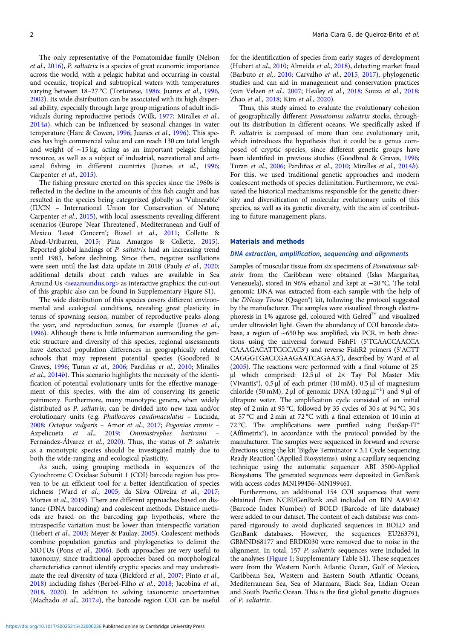The only representative of the Pomatomidae family (Nelson et al., [2016\)](#page-11-0), P. saltatrix is a species of great economic importance across the world, with a pelagic habitat and occurring in coastal and oceanic, tropical and subtropical waters with temperatures varying between 18-27 °C (Tortonese, [1986;](#page-12-0) Juanes et al., [1996](#page-10-0), [2002\)](#page-10-0). Its wide distribution can be associated with its high dispersal ability, especially through large group migrations of adult individuals during reproductive periods (Wilk, [1977;](#page-12-0) Miralles et al., [2014](#page-11-0)a), which can be influenced by seasonal changes in water temperature (Hare & Cowen, [1996;](#page-10-0) Juanes et al., [1996\)](#page-10-0). This species has high commercial value and can reach 130 cm total length and weight of ∼15 kg, acting as an important pelagic fishing resource, as well as a subject of industrial, recreational and arti-sanal fishing in different countries (Juanes et al., [1996](#page-10-0); Carpenter et al., [2015](#page-9-0)).

The fishing pressure exerted on this species since the 1960s is reflected in the decline in the amounts of this fish caught and has resulted in the species being categorized globally as 'Vulnerable' (IUCN – International Union for Conservation of Nature; Carpenter et al., [2015\)](#page-9-0), with local assessments revealing different scenarios (Europe 'Near Threatened', Mediterranean and Gulf of Mexico 'Least Concern'; Bizsel et al., [2011](#page-9-0); Collette & Abad-Uribarren, [2015](#page-10-0); Pina Amargos & Collette, [2015\)](#page-11-0). Reported global landings of P. saltatrix had an increasing trend until 1983, before declining. Since then, negative oscillations were seen until the last data update in 2018 (Pauly et al., [2020](#page-11-0); additional details about catch values are available in Sea Around Us <[seaaroundus.org>](https://seaaroundus.org) as interactive graphics; the cut-out of this graphic also can be found in Supplementary Figure S1).

The wide distribution of this species covers different environmental and ecological conditions, revealing great plasticity in terms of spawning season, number of reproductive peaks along the year, and reproduction zones, for example (Juanes et al., [1996\)](#page-10-0). Although there is little information surrounding the genetic structure and diversity of this species, regional assessments have detected population differences in geographically related schools that may represent potential species (Goodbred & Graves, [1996](#page-10-0); Turan et al., [2006](#page-12-0); Pardiñas et al., [2010;](#page-11-0) Miralles et al.,  $2014b$  $2014b$ ). This scenario highlights the necessity of the identification of potential evolutionary units for the effective management of this species, with the aim of conserving its genetic patrimony. Furthermore, many monotypic genera, when widely distributed as P. saltatrix, can be divided into new taxa and/or evolutionary units (e.g. Phalloceros caudimaculatus – Lucinda, [2008;](#page-11-0) Octopus vulgaris – Amor et al., [2017;](#page-9-0) Pogonias cromis – Azpelicueta et al., [2019;](#page-9-0) Ommastrephes bartrami – Fernández-Álvarez et al., [2020](#page-10-0)). Thus, the status of P. saltatrix as a monotypic species should be investigated mainly due to both the wide-ranging and ecological plasticity.

As such, using grouping methods in sequences of the Cytochrome C Oxidase Subunit 1 (COI) barcode region has proven to be an efficient tool for a better identification of species richness (Ward et al., [2005;](#page-12-0) da Silva Oliveira et al., [2017](#page-10-0); Moraes et al., [2019\)](#page-11-0). There are different approaches based on distance (DNA barcoding) and coalescent methods. Distance methods are based on the barcoding gap hypothesis, where the intraspecific variation must be lower than interspecific variation (Hebert et al., [2003](#page-10-0); Meyer & Paulay, [2005](#page-11-0)). Coalescent methods combine population genetics and phylogenetics to delimit the MOTUs (Pons et al., [2006\)](#page-11-0). Both approaches are very useful to taxonomy, since traditional approaches based on morphological characteristics cannot identify cryptic species and may underesti-mate the real diversity of taxa (Bickford et al., [2007](#page-9-0); Pinto et al., [2018\)](#page-11-0) including fishes (Berbel-Filho et al., [2018](#page-9-0); Jacobina et al., [2018,](#page-10-0) [2020](#page-10-0)). In addition to solving taxonomic uncertainties (Machado et al., [2017](#page-11-0)a), the barcode region COI can be useful

for the identification of species from early stages of development (Hubert et al., [2010;](#page-10-0) Almeida et al., [2018](#page-9-0)), detecting market fraud (Barbuto et al., [2010](#page-9-0); Carvalho et al., [2015](#page-9-0), [2017](#page-9-0)), phylogenetic studies and can aid in management and conservation practices (van Velzen et al., [2007;](#page-12-0) Healey et al., [2018](#page-10-0); Souza et al., [2018;](#page-12-0) Zhao et al., [2018](#page-12-0); Kim et al., [2020\)](#page-11-0).

Thus, this study aimed to evaluate the evolutionary cohesion of geographically different Pomatomus saltatrix stocks, throughout its distribution in different oceans. We specifically asked if P. saltatrix is composed of more than one evolutionary unit, which introduces the hypothesis that it could be a genus composed of cryptic species, since different genetic groups have been identified in previous studies (Goodbred & Graves, [1996;](#page-10-0) Turan et al., [2006;](#page-12-0) Pardiñas et al., [2010](#page-11-0); Miralles et al., [2014](#page-11-0)b). For this, we used traditional genetic approaches and modern coalescent methods of species delimitation. Furthermore, we evaluated the historical mechanisms responsible for the genetic diversity and diversification of molecular evolutionary units of this species, as well as its genetic diversity, with the aim of contributing to future management plans.

### Materials and methods

### DNA extraction, amplification, sequencing and alignments

Samples of muscular tissue from six specimens of Pomatomus saltatrix from the Caribbean were obtained (Islas Margaritas, Venezuela), stored in 96% ethanol and kept at −20 °C. The total genomic DNA was extracted from each sample with the help of the DNeasy Tissue (Qiagen®) kit, following the protocol suggested by the manufacturer. The samples were visualized through electrophoresis in 1% agarose gel, coloured with Gelred<sup>™</sup> and visualized under ultraviolet light. Given the abundancy of COI barcode database, a region of ∼650 bp was amplified, via PCR, in both directions using the universal forward FishF1 (5′ TCAACCAACCA CAAAGACATTGGCAC3′ ) and reverse FishR2 primers (5′ ACTT CAGGGTGACCGAAGAATCAGAA3′ ), described by Ward et al. [\(2005](#page-12-0)). The reactions were performed with a final volume of 25 μl which comprised: 12.5 μl of 2× Tay Pol Master Mix (Vivantis®), 0.5 μl of each primer (10 mM), 0.5 μl of magnesium chloride (50 mM), 2 μl of genomic DNA (40 ng  $\mu$ l<sup>-1</sup>) and 9 μl of ultrapure water. The amplification cycle consisted of an initial step of 2 min at 95 °C, followed by 35 cycles of 30 s at 94 °C, 30 s at 57 °C and 2 min at 72 °C with a final extension of 10 min at 72 °C. The amplifications were purified using ExoSap-IT® (Affimetrix®), in accordance with the protocol provided by the manufacturer. The samples were sequenced in forward and reverse directions using the kit 'Bigdye Terminator v 3.1 Cycle Sequencing Ready Reaction' (Applied Biosystems), using a capillary sequencing technique using the automatic sequencer ABI 3500-Applied Biosystems. The generated sequences were deposited in GenBank with access codes MN199456–MN199461.

Furthermore, an additional 154 COI sequences that were obtained from NCBI/GenBank and included on BIN AA9142 (Barcode Index Number) of BOLD (Barcode of life database) were added to our dataset. The content of each database was compared rigorously to avoid duplicated sequences in BOLD and GenBank databases. However, the sequences EU263791, GBMND68177 and ERDK030 were removed due to noise in the alignment. In total, 157 P. saltatrix sequences were included in the analyses [\(Figure 1](#page-2-0); Supplementary Table S1). These sequences were from the Western North Atlantic Ocean, Gulf of Mexico, Caribbean Sea, Western and Eastern South Atlantic Oceans, Mediterranean Sea, Sea of Marmara, Black Sea, Indian Ocean and South Pacific Ocean. This is the first global genetic diagnosis of P. saltatrix.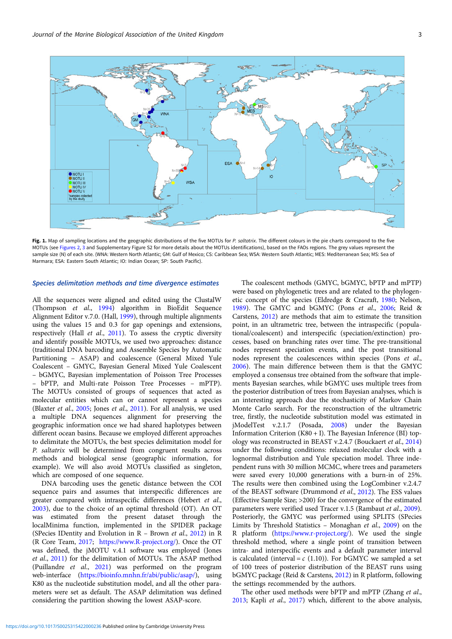<span id="page-2-0"></span>

Fig. 1. Map of sampling locations and the geographic distributions of the five MOTUs for P. saltatrix. The different colours in the pie charts correspond to the five MOTUs (see [Figures 2,](#page-4-0) [3](#page-5-0) and Supplementary Figure S2 for more details about the MOTUs identifications), based on the FAOs regions. The grey values represent the sample size (N) of each site. (WNA: Western North Atlantic; GM: Gulf of Mexico; CS: Caribbean Sea; WSA: Western South Atlantic; MES: Mediterranean Sea; MS: Sea of Marmara; ESA: Eastern South Atlantic; IO: Indian Ocean; SP: South Pacific).

### Species delimitation methods and time divergence estimates

All the sequences were aligned and edited using the ClustalW (Thompson et al., [1994\)](#page-12-0) algorithm in BioEdit Sequence Alignment Editor v.7.0. (Hall, [1999\)](#page-10-0), through multiple alignments using the values 15 and 0.3 for gap openings and extensions, respectively (Hall et al., [2011\)](#page-10-0). To assess the cryptic diversity and identify possible MOTUs, we used two approaches: distance (traditional DNA barcoding and Assemble Species by Automatic Partitioning – ASAP) and coalescence (General Mixed Yule Coalescent – GMYC, Bayesian General Mixed Yule Coalescent – bGMYC, Bayesian implementation of Poisson Tree Processes – bPTP, and Multi-rate Poisson Tree Processes – mPTP). The MOTUs consisted of groups of sequences that acted as molecular entities which can or cannot represent a species (Blaxter et al., [2005](#page-9-0); Jones et al., [2011\)](#page-10-0). For all analysis, we used a multiple DNA sequences alignment for preserving the geographic information once we had shared haplotypes between different ocean basins. Because we employed different approaches to delimitate the MOTUs, the best species delimitation model for P. saltatrix will be determined from congruent results across methods and biological sense (geographic information, for example). We will also avoid MOTUs classified as singleton, which are composed of one sequence.

DNA barcoding uses the genetic distance between the COI sequence pairs and assumes that interspecific differences are greater compared with intraspecific differences (Hebert et al., [2003\)](#page-10-0), due to the choice of an optimal threshold (OT). An OT was estimated from the present dataset through the localMinima function, implemented in the SPIDER package (SPecies IDentity and Evolution in R – Brown et al., [2012\)](#page-9-0) in R (R Core Team, [2017;](#page-12-0) [https://www.R-project.org/\)](https://www.R-project.org/). Once the OT was defined, the jMOTU v.4.1 software was employed (Jones et al., [2011](#page-10-0)) for the delimitation of MOTUs. The ASAP method (Puillandre et al., [2021](#page-11-0)) was performed on the program web-interface ([https://bioinfo.mnhn.fr/abi/public/asap/\)](https://bioinfo.mnhn.fr/abi/public/asap/), using K80 as the nucleotide substitution model, and all the other parameters were set as default. The ASAP delimitation was defined considering the partition showing the lowest ASAP-score.

The coalescent methods (GMYC, bGMYC, bPTP and mPTP) were based on phylogenetic trees and are related to the phylogenetic concept of the species (Eldredge & Cracraft, [1980;](#page-10-0) Nelson, [1989](#page-11-0)). The GMYC and bGMYC (Pons et al., [2006](#page-11-0); Reid & Carstens, [2012\)](#page-12-0) are methods that aim to estimate the transition point, in an ultrametric tree, between the intraspecific (populational/coalescent) and interspecific (speciation/extinction) processes, based on branching rates over time. The pre-transitional nodes represent speciation events, and the post transitional nodes represent the coalescences within species (Pons et al., [2006](#page-11-0)). The main difference between them is that the GMYC employed a consensus tree obtained from the software that implements Bayesian searches, while bGMYC uses multiple trees from the posterior distribution of trees from Bayesian analyses, which is an interesting approach due the stochasticity of Markov Chain Monte Carlo search. For the reconstruction of the ultrametric tree, firstly, the nucleotide substitution model was estimated in jModelTest v.2.1.7 (Posada, [2008](#page-11-0)) under the Bayesian Information Criterion (K80 + I). The Bayesian Inference (BI) topology was reconstructed in BEAST v.2.4.7 (Bouckaert et al., [2014](#page-9-0)) under the following conditions: relaxed molecular clock with a lognormal distribution and Yule speciation model. Three independent runs with 30 million MCMC, where trees and parameters were saved every 10,000 generations with a burn-in of 25%. The results were then combined using the LogCombiner v.2.4.7 of the BEAST software (Drummond et al., [2012](#page-10-0)). The ESS values (Effective Sample Size; >200) for the convergence of the estimated parameters were verified used Tracer v.1.5 (Rambaut et al., [2009](#page-12-0)). Posteriorly, the GMYC was performed using SPLITS (SPecies Limits by Threshold Statistics – Monaghan et al., [2009\)](#page-11-0) on the R platform [\(https://www.r-project.org/\)](https://www.r-project.org/). We used the single threshold method, where a single point of transition between intra- and interspecific events and a default parameter interval is calculated (interval =  $c$  (1.10)). For bGMYC we sampled a set of 100 trees of posterior distribution of the BEAST runs using bGMYC package (Reid & Carstens, [2012\)](#page-12-0) in R platform, following the settings recommended by the authors.

The other used methods were bPTP and mPTP (Zhang et al., [2013](#page-12-0); Kapli et al., [2017\)](#page-10-0) which, different to the above analysis,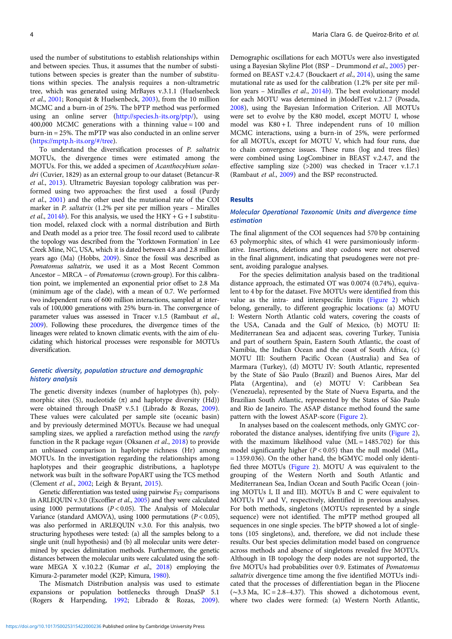used the number of substitutions to establish relationships within and between species. Thus, it assumes that the number of substitutions between species is greater than the number of substitutions within species. The analysis requires a non-ultrametric tree, which was generated using MrBayes v.3.1.1 (Huelsenbeck et al., [2001;](#page-10-0) Ronquist & Huelsenbeck, [2003](#page-12-0)), from the 10 million MCMC and a burn-in of 25%. The bPTP method was performed using an online server ([http://species.h-its.org/ptp/\)](http://species.h-its.org/ptp/), using 400,000 MCMC generations with a thinning value = 100 and burn-in = 25%. The mPTP was also conducted in an online server ([https://mptp.h-its.org/#/tree\)](https://mptp.h-its.org/#/tree).

To understand the diversification processes of P. saltatrix MOTUs, the divergence times were estimated among the MOTUs. For this, we added a specimen of Acanthocybium solandri (Cuvier, 1829) as an external group to our dataset (Betancur-R et al., [2013\)](#page-9-0). Ultrametric Bayesian topology calibration was performed using two approaches: the first used a fossil (Purdy et al., [2001\)](#page-12-0) and the other used the mutational rate of the COI marker in P. saltatrix (1.2% per site per million years – Miralles *et al.*, [2014](#page-11-0)*b*). For this analysis, we used the HKY + G + I substitution model, relaxed clock with a normal distribution and Birth and Death model as a prior tree. The fossil record used to calibrate the topology was described from the 'Yorktown Formation' in Lee Creek Mine, NC, USA, which it is dated between 4.8 and 2.8 million years ago (Ma) (Hobbs, [2009\)](#page-10-0). Since the fossil was described as Pomatomus saltatrix, we used it as a Most Recent Common Ancestor – MRCA – of Pomatomus (crown-group). For this calibration point, we implemented an exponential prior offset to 2.8 Ma (minimum age of the clade), with a mean of 0.7. We performed two independent runs of 600 million interactions, sampled at intervals of 100,000 generations with 25% burn-in. The convergence of parameter values was assessed in Tracer v.1.5 (Rambaut et al., [2009](#page-12-0)). Following these procedures, the divergence times of the lineages were related to known climatic events, with the aim of elucidating which historical processes were responsible for MOTUs diversification.

# Genetic diversity, population structure and demographic history analysis

The genetic diversity indexes (number of haplotypes (h), polymorphic sites (S), nucleotide  $(\pi)$  and haplotype diversity (Hd)) were obtained through DnaSP v.5.1 (Librado & Rozas, [2009\)](#page-11-0). These values were calculated per sample site (oceanic basin) and by previously determined MOTUs. Because we had unequal sampling sizes, we applied a rarefaction method using the rarefy function in the R package vegan (Oksanen et al., [2018\)](#page-11-0) to provide an unbiased comparison in haplotype richness (Hr) among MOTUs. In the investigation regarding the relationships among haplotypes and their geographic distributions, a haplotype network was built in the software PopART using the TCS method (Clement et al., [2002;](#page-10-0) Leigh & Bryant, [2015\)](#page-11-0).

Genetic differentiation was tested using pairwise  $F_{ST}$  comparisons in ARLEQUIN v.3.0 (Excoffier et al., [2005](#page-10-0)) and they were calculated using 1000 permutations ( $P < 0.05$ ). The Analysis of Molecular Variance (standard AMOVA), using 1000 permutations  $(P < 0.05)$ , was also performed in ARLEQUIN v.3.0. For this analysis, two structuring hypotheses were tested: (a) all the samples belong to a single unit (null hypothesis) and (b) all molecular units were determined by species delimitation methods. Furthermore, the genetic distances between the molecular units were calculated using the software MEGA X v.10.2.2 (Kumar et al., [2018](#page-11-0)) employing the Kimura-2-parameter model (K2P; Kimura, [1980](#page-11-0)).

The Mismatch Distribution analysis was used to estimate expansions or population bottlenecks through DnaSP 5.1 (Rogers & Harpending, [1992;](#page-12-0) Librado & Rozas, [2009\)](#page-11-0).

Demographic oscillations for each MOTUs were also investigated using a Bayesian Skyline Plot (BSP – Drummond et al., [2005](#page-10-0)) performed on BEAST v.2.4.7 (Bouckaert et al., [2014](#page-9-0)), using the same mutational rate as used for the calibration (1.2% per site per million years – Miralles et al.,  $2014b$  $2014b$ ). The best evolutionary model for each MOTU was determined in jModelTest v.2.1.7 (Posada, [2008\)](#page-11-0), using the Bayesian Information Criterion. All MOTUs were set to evolve by the K80 model, except MOTU I, whose model was K80 + I. Three independent runs of 10 million MCMC interactions, using a burn-in of 25%, were performed for all MOTUs, except for MOTU V, which had four runs, due to chain convergence issues. These runs (log and trees files) were combined using LogCombiner in BEAST v.2.4.7, and the effective sampling size (>200) was checked in Tracer v.1.7.1 (Rambaut et al., [2009\)](#page-12-0) and the BSP reconstructed.

#### Results

### Molecular Operational Taxonomic Units and divergence time estimation

The final alignment of the COI sequences had 570 bp containing 63 polymorphic sites, of which 41 were parsimoniously informative. Insertions, deletions and stop codons were not observed in the final alignment, indicating that pseudogenes were not present, avoiding paralogue analyses.

For the species delimitation analysis based on the traditional distance approach, the estimated OT was 0.0074 (0.74%), equivalent to 4 bp for the dataset. Five MOTUs were identified from this value as the intra- and interspecific limits ([Figure 2](#page-4-0)) which belong, generally, to different geographic locations: (a) MOTU I: Western North Atlantic cold waters, covering the coasts of the USA, Canada and the Gulf of Mexico, (b) MOTU II: Mediterranean Sea and adjacent seas, covering Turkey, Tunisia and part of southern Spain, Eastern South Atlantic, the coast of Namibia, the Indian Ocean and the coast of South Africa, (c) MOTU III: Southern Pacific Ocean (Australia) and Sea of Marmara (Turkey), (d) MOTU IV: South Atlantic, represented by the State of São Paulo (Brazil) and Buenos Aires, Mar del Plata (Argentina), and (e) MOTU V: Caribbean Sea (Venezuela), represented by the State of Nueva Esparta, and the Brazilian South Atlantic, represented by the States of São Paulo and Rio de Janeiro. The ASAP distance method found the same pattern with the lowest ASAP-score [\(Figure 2](#page-4-0)).

In analyses based on the coalescent methods, only GMYC corroborated the distance analyses, identifying five units ([Figure 2](#page-4-0)), with the maximum likelihood value  $(ML = 1485.702)$  for this model significantly higher ( $P < 0.05$ ) than the null model ( $ML_0$ = 1359.036). On the other hand, the bGMYC model only identified three MOTUs ([Figure 2](#page-4-0)). MOTU A was equivalent to the grouping of the Western North and South Atlantic and Mediterranean Sea, Indian Ocean and South Pacific Ocean ( joining MOTUs I, II and III). MOTUs B and C were equivalent to MOTUs IV and V, respectively, identified in previous analyses. For both methods, singletons (MOTUs represented by a single sequence) were not identified. The mPTP method grouped all sequences in one single species. The bPTP showed a lot of singletons (105 singletons), and, therefore, we did not include these results. Our best species delimitation model based on congruence across methods and absence of singletons revealed five MOTUs. Although in IB topology the deep nodes are not supported, the five MOTUs had probabilities over 0.9. Estimates of Pomatomus saltatrix divergence time among the five identified MOTUs indicated that the processes of differentiation began in the Pliocene (∼3.3 Ma, IC = 2.8–4.37). This showed a dichotomous event, where two clades were formed: (a) Western North Atlantic,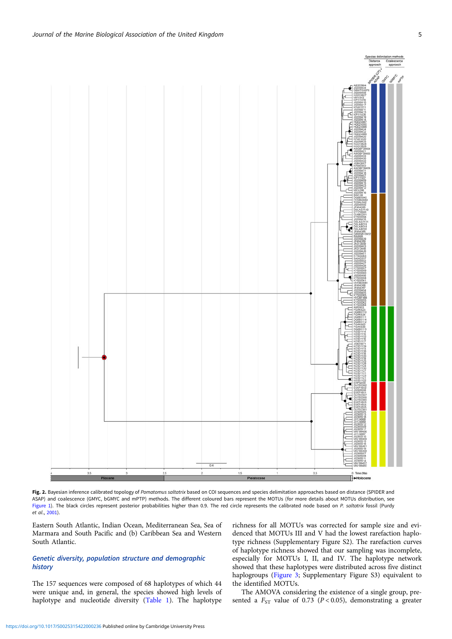<span id="page-4-0"></span>

Fig. 2. Bayesian inference calibrated topology of Pomatomus saltatrix based on COI sequences and species delimitation approaches based on distance (SPIDER and ASAP) and coalescence (GMYC, bGMYC and mPTP) methods. The different coloured bars represent the MOTUs (for more details about MOTUs distribution, see [Figure 1\)](#page-2-0). The black circles represent posterior probabilities higher than 0.9. The red circle represents the calibrated node based on P. saltatrix fossil (Purdy et al., [2001](#page-12-0)).

Eastern South Atlantic, Indian Ocean, Mediterranean Sea, Sea of Marmara and South Pacific and (b) Caribbean Sea and Western South Atlantic.

# Genetic diversity, population structure and demographic history

The 157 sequences were composed of 68 haplotypes of which 44 were unique and, in general, the species showed high levels of haplotype and nucleotide diversity ([Table 1\)](#page-6-0). The haplotype richness for all MOTUs was corrected for sample size and evidenced that MOTUs III and V had the lowest rarefaction haplotype richness (Supplementary Figure S2). The rarefaction curves of haplotype richness showed that our sampling was incomplete, especially for MOTUs I, II, and IV. The haplotype network showed that these haplotypes were distributed across five distinct haplogroups ([Figure 3](#page-5-0); Supplementary Figure S3) equivalent to the identified MOTUs.

The AMOVA considering the existence of a single group, presented a  $F_{ST}$  value of 0.73 ( $P < 0.05$ ), demonstrating a greater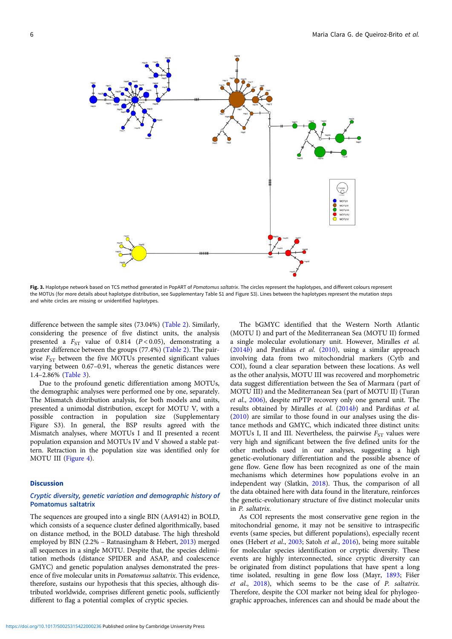<span id="page-5-0"></span>

Fig. 3. Haplotype network based on TCS method generated in PopART of Pomatomus saltatrix. The circles represent the haplotypes, and different colours represent the MOTUs (for more details about haplotype distribution, see Supplementary Table S1 and Figure S3). Lines between the haplotypes represent the mutation steps and white circles are missing or unidentified haplotypes.

difference between the sample sites (73.04%) ([Table 2](#page-6-0)). Similarly, considering the presence of five distinct units, the analysis presented a  $F_{ST}$  value of 0.814 ( $P < 0.05$ ), demonstrating a greater difference between the groups (77.4%) [\(Table 2\)](#page-6-0). The pairwise  $F_{ST}$  between the five MOTUs presented significant values varying between 0.67–0.91, whereas the genetic distances were 1.4–2.86% [\(Table 3\)](#page-6-0).

Due to the profound genetic differentiation among MOTUs, the demographic analyses were performed one by one, separately. The Mismatch distribution analysis, for both models and units, presented a unimodal distribution, except for MOTU V, with a possible contraction in population size (Supplementary Figure S3). In general, the BSP results agreed with the Mismatch analyses, where MOTUs I and II presented a recent population expansion and MOTUs IV and V showed a stable pattern. Retraction in the population size was identified only for MOTU III ([Figure 4\)](#page-7-0).

### **Discussion**

## Cryptic diversity, genetic variation and demographic history of Pomatomus saltatrix

The sequences are grouped into a single BIN (AA9142) in BOLD, which consists of a sequence cluster defined algorithmically, based on distance method, in the BOLD database. The high threshold employed by BIN (2.2% – Ratnasingham & Hebert, [2013](#page-12-0)) merged all sequences in a single MOTU. Despite that, the species delimitation methods (distance SPIDER and ASAP, and coalescence GMYC) and genetic population analyses demonstrated the presence of five molecular units in Pomatomus saltatrix. This evidence, therefore, sustains our hypothesis that this species, although distributed worldwide, comprises different genetic pools, sufficiently different to flag a potential complex of cryptic species.

The bGMYC identified that the Western North Atlantic (MOTU I) and part of the Mediterranean Sea (MOTU II) formed a single molecular evolutionary unit. However, Miralles et al. ([2014](#page-11-0)b) and Pardiñas et al. ([2010\)](#page-11-0), using a similar approach involving data from two mitochondrial markers (Cytb and COI), found a clear separation between these locations. As well as the other analysis, MOTU III was recovered and morphometric data suggest differentiation between the Sea of Marmara (part of MOTU III) and the Mediterranean Sea (part of MOTU II) (Turan et al., [2006](#page-12-0)), despite mPTP recovery only one general unit. The results obtained by Miralles et al. ([2014](#page-11-0)b) and Pardiñas et al. ([2010\)](#page-11-0) are similar to those found in our analyses using the distance methods and GMYC, which indicated three distinct units: MOTUs I, II and III. Nevertheless, the pairwise  $F_{ST}$  values were very high and significant between the five defined units for the other methods used in our analyses, suggesting a high genetic-evolutionary differentiation and the possible absence of gene flow. Gene flow has been recognized as one of the main mechanisms which determines how populations evolve in an independent way (Slatkin, [2018](#page-12-0)). Thus, the comparison of all the data obtained here with data found in the literature, reinforces the genetic-evolutionary structure of five distinct molecular units in P. saltatrix.

As COI represents the most conservative gene region in the mitochondrial genome, it may not be sensitive to intraspecific events (same species, but different populations), especially recent ones (Hebert et al., [2003](#page-10-0); Satoh et al., [2016](#page-12-0)), being more suitable for molecular species identification or cryptic diversity. These events are highly interconnected, since cryptic diversity can be originated from distinct populations that have spent a long time isolated, resulting in gene flow loss (Mayr, [1893;](#page-11-0) Fišer et al., [2018](#page-10-0)), which seems to be the case of P. saltatrix. Therefore, despite the COI marker not being ideal for phylogeographic approaches, inferences can and should be made about the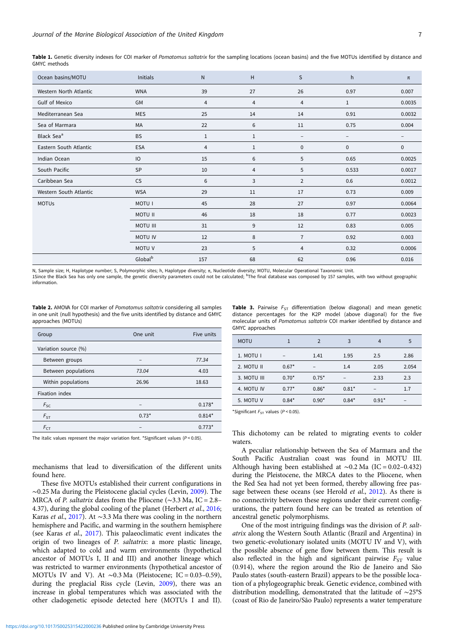<span id="page-6-0"></span>Table 1. Genetic diversity indexes for COI marker of Pomatomus saltatrix for the sampling locations (ocean basins) and the five MOTUs identified by distance and GMYC methods

| Ocean basins/MOTU      | Initials            | ${\sf N}$ | H              | S              | h            | $\pi$       |
|------------------------|---------------------|-----------|----------------|----------------|--------------|-------------|
| Western North Atlantic | <b>WNA</b>          | 39        | 27             | 26             | 0.97         | 0.007       |
| Gulf of Mexico         | GM                  | 4         | $\overline{4}$ | 4              | $\mathbf{1}$ | 0.0035      |
| Mediterranean Sea      | <b>MES</b>          | 25        | 14             | 14             | 0.91         | 0.0032      |
| Sea of Marmara         | MA                  | 22        | 6              | 11             | 0.75         | 0.004       |
| Black Sea <sup>a</sup> | <b>BS</b>           | 1         | 1              | -              | ۰            |             |
| Eastern South Atlantic | <b>ESA</b>          | 4         | $1\,$          | 0              | 0            | $\mathbf 0$ |
| Indian Ocean           | IO                  | 15        | 6              | 5              | 0.65         | 0.0025      |
| South Pacific          | SP                  | 10        | 4              | 5              | 0.533        | 0.0017      |
| Caribbean Sea          | <b>CS</b>           | 6         | 3              | $\overline{2}$ | 0.6          | 0.0012      |
| Western South Atlantic | <b>WSA</b>          | 29        | 11             | 17             | 0.73         | 0.009       |
| <b>MOTUs</b>           | <b>MOTUI</b>        | 45        | 28             | 27             | 0.97         | 0.0064      |
|                        | <b>MOTU II</b>      | 46        | 18             | 18             | 0.77         | 0.0023      |
|                        | <b>MOTU III</b>     | 31        | 9              | 12             | 0.83         | 0.005       |
|                        | <b>MOTU IV</b>      | 12        | $\,8\,$        | $\overline{7}$ | 0.92         | 0.003       |
|                        | MOTU V              | 23        | 5              | 4              | 0.32         | 0.0006      |
|                        | Global <sup>b</sup> | 157       | 68             | 62             | 0.96         | 0.016       |

N, Sample size; H, Haplotype number; S, Polymorphic sites; h, Haplotype diversity; π, Nucleotide diversity; MOTU, Molecular Operational Taxonomic Unit.

1Since the Black Sea has only one sample, the genetic diversity parameters could not be calculated; <sup>b</sup>The final database was composed by 157 samples, with two without geographic information.

| Table 2. AMOVA for COI marker of Pomatomus saltatrix considering all samples     |
|----------------------------------------------------------------------------------|
| in one unit (null hypothesis) and the five units identified by distance and GMYC |
| approaches (MOTUs)                                                               |

| Group                 | One unit | Five units |
|-----------------------|----------|------------|
| Variation source (%)  |          |            |
| Between groups        |          | 77.34      |
| Between populations   | 73.04    | 4.03       |
| Within populations    | 26.96    | 18.63      |
| <b>Fixation index</b> |          |            |
| $F_{SC}$              |          | $0.178*$   |
| $F_{ST}$              | $0.73*$  | $0.814*$   |
| $F_{CT}$              |          | $0.773*$   |

The italic values represent the major variation font. \*Significant values ( $P < 0.05$ ).

mechanisms that lead to diversification of the different units found here.

These five MOTUs established their current configurations in ∼0.25 Ma during the Pleistocene glacial cycles (Levin, [2009\)](#page-11-0). The MRCA of P. saltatrix dates from the Pliocene (∼3.3 Ma, IC = 2.8– 4.37), during the global cooling of the planet (Herbert et al., [2016;](#page-10-0) Karas et al., [2017](#page-11-0)). At ∼3.3 Ma there was cooling in the northern hemisphere and Pacific, and warming in the southern hemisphere (see Karas et al., [2017\)](#page-11-0). This palaeoclimatic event indicates the origin of two lineages of P. saltatrix: a more plastic lineage, which adapted to cold and warm environments (hypothetical ancestor of MOTUs I, II and III) and another lineage which was restricted to warmer environments (hypothetical ancestor of MOTUs IV and V). At ~0.3 Ma (Pleistocene; IC =  $0.03-0.59$ ), during the preglacial Riss cycle (Levin, [2009\)](#page-11-0), there was an increase in global temperatures which was associated with the other cladogenetic episode detected here (MOTUs I and II).

distance percentages for the K2P model (above diagonal) for the five molecular units of Pomatomus saltatrix COI marker identified by distance and GMYC approaches

**Table 3.** Pairwise  $F_{ST}$  differentiation (below diagonal) and mean genetic

| <b>MOTU</b> |         | $\mathcal{P}$ | 3       | 4       | 5     |
|-------------|---------|---------------|---------|---------|-------|
| 1. MOTU I   |         | 1.41          | 1.95    | 2.5     | 2.86  |
| 2. MOTU II  | $0.67*$ |               | 1.4     | 2.05    | 2.054 |
| 3. MOTU III | $0.70*$ | $0.75*$       | -       | 2.33    | 2.3   |
| 4. MOTU IV  | $0.77*$ | $0.86*$       | $0.81*$ |         | 1.7   |
| 5. MOTU V   | $0.84*$ | $0.90*$       | $0.84*$ | $0.91*$ | -     |

\*Significant  $F_{ST}$  values ( $P < 0.05$ )

This dichotomy can be related to migrating events to colder waters.

A peculiar relationship between the Sea of Marmara and the South Pacific Australian coast was found in MOTU III. Although having been established at ∼0.2 Ma (IC = 0.02–0.432) during the Pleistocene, the MRCA dates to the Pliocene, when the Red Sea had not yet been formed, thereby allowing free passage between these oceans (see Herold *et al.*, [2012](#page-10-0)). As there is no connectivity between these regions under their current configurations, the pattern found here can be treated as retention of ancestral genetic polymorphisms.

One of the most intriguing findings was the division of P. saltatrix along the Western South Atlantic (Brazil and Argentina) in two genetic-evolutionary isolated units (MOTU IV and V), with the possible absence of gene flow between them. This result is also reflected in the high and significant pairwise  $F_{ST}$  value (0.914), where the region around the Rio de Janeiro and São Paulo states (south-eastern Brazil) appears to be the possible location of a phylogeographic break. Genetic evidence, combined with distribution modelling, demonstrated that the latitude of ∼25°S (coast of Rio de Janeiro/São Paulo) represents a water temperature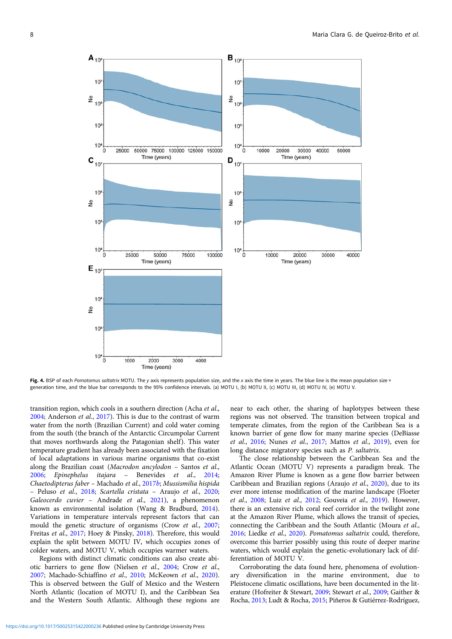<span id="page-7-0"></span>

Fig. 4. BSP of each Pomatomus saltatrix MOTU. The y axis represents population size, and the x axis the time in years. The blue line is the mean population size × generation time, and the blue bar corresponds to the 95% confidence intervals. (a) MOTU I, (b) MOTU II, (c) MOTU III, (d) MOTU III, (e) MOTU V.

transition region, which cools in a southern direction (Acha et al., [2004;](#page-9-0) Anderson et al., [2017](#page-9-0)). This is due to the contrast of warm water from the north (Brazilian Current) and cold water coming from the south (the branch of the Antarctic Circumpolar Current that moves northwards along the Patagonian shelf). This water temperature gradient has already been associated with the fixation of local adaptations in various marine organisms that co-exist along the Brazilian coast (Macrodon ancylodon – Santos et al., [2006;](#page-12-0) Epinephelus itajara – Benevides et al., [2014](#page-9-0); Chaetodipterus faber – Machado et al., [2017](#page-11-0)b; Mussismilia hispida – Peluso et al., [2018;](#page-11-0) Scartella cristata – Araujo et al., [2020](#page-9-0); Galeocerdo cuvier – Andrade et al., [2021](#page-9-0)), a phenomenon known as environmental isolation (Wang & Bradburd, [2014\)](#page-12-0). Variations in temperature intervals represent factors that can mould the genetic structure of organisms (Crow et al., [2007](#page-10-0); Freitas et al., [2017](#page-10-0); Hoey & Pinsky, [2018\)](#page-10-0). Therefore, this would explain the split between MOTU IV, which occupies zones of colder waters, and MOTU V, which occupies warmer waters.

Regions with distinct climatic conditions can also create abiotic barriers to gene flow (Nielsen et al., [2004](#page-11-0); Crow et al., [2007;](#page-10-0) Machado-Schiaffino et al., [2010;](#page-11-0) McKeown et al., [2020\)](#page-11-0). This is observed between the Gulf of Mexico and the Western North Atlantic (location of MOTU I), and the Caribbean Sea and the Western South Atlantic. Although these regions are

near to each other, the sharing of haplotypes between these regions was not observed. The transition between tropical and temperate climates, from the region of the Caribbean Sea is a known barrier of gene flow for many marine species (DeBiasse et al., [2016](#page-10-0); Nunes et al., [2017](#page-11-0); Mattos et al., [2019](#page-11-0)), even for long distance migratory species such as P. saltatrix.

The close relationship between the Caribbean Sea and the Atlantic Ocean (MOTU V) represents a paradigm break. The Amazon River Plume is known as a gene flow barrier between Caribbean and Brazilian regions (Araujo et al., [2020\)](#page-9-0), due to its ever more intense modification of the marine landscape (Floeter et al., [2008](#page-10-0); Luiz et al., [2012](#page-11-0); Gouveia et al., [2019](#page-10-0)). However, there is an extensive rich coral reef corridor in the twilight zone at the Amazon River Plume, which allows the transit of species, connecting the Caribbean and the South Atlantic (Moura et al., [2016;](#page-11-0) Liedke et al., [2020\)](#page-11-0). Pomatomus saltatrix could, therefore, overcome this barrier possibly using this route of deeper marine waters, which would explain the genetic-evolutionary lack of differentiation of MOTU V.

Corroborating the data found here, phenomena of evolutionary diversification in the marine environment, due to Pleistocene climatic oscillations, have been documented in the literature (Hofreiter & Stewart, [2009](#page-10-0); Stewart et al., [2009;](#page-12-0) Gaither & Rocha, [2013](#page-10-0); Ludt & Rocha, [2015](#page-11-0); Piñeros & Gutiérrez-Rodríguez,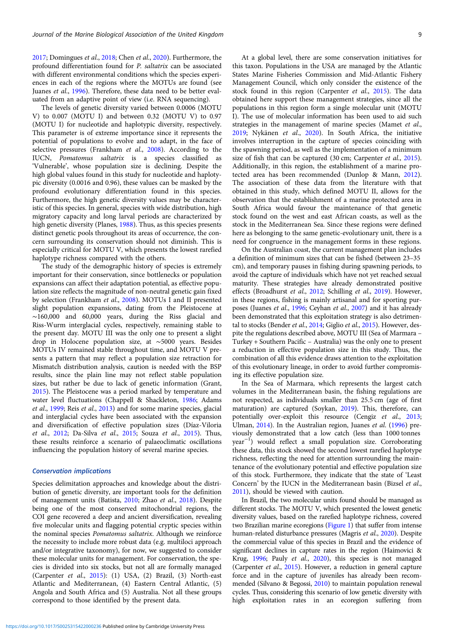[2017;](#page-11-0) Domingues et al., [2018;](#page-10-0) Chen et al., [2020\)](#page-10-0). Furthermore, the profound differentiation found for P. saltatrix can be associated with different environmental conditions which the species experiences in each of the regions where the MOTUs are found (see Juanes et al., [1996\)](#page-10-0). Therefore, these data need to be better evaluated from an adaptive point of view (i.e. RNA sequencing).

The levels of genetic diversity varied between 0.0006 (MOTU V) to 0.007 (MOTU I) and between 0.32 (MOTU V) to 0.97 (MOTU I) for nucleotide and haplotypic diversity, respectively. This parameter is of extreme importance since it represents the potential of populations to evolve and to adapt, in the face of selective pressures (Frankham et al., [2008](#page-10-0)). According to the IUCN, Pomatomus saltatrix is a species classified as 'Vulnerable', whose population size is declining. Despite the high global values found in this study for nucleotide and haplotypic diversity (0.0016 and 0.96), these values can be masked by the profound evolutionary differentiation found in this species. Furthermore, the high genetic diversity values may be characteristic of this species. In general, species with wide distribution, high migratory capacity and long larval periods are characterized by high genetic diversity (Planes, [1988](#page-11-0)). Thus, as this species presents distinct genetic pools throughout its areas of occurrence, the concern surrounding its conservation should not diminish. This is especially critical for MOTU V, which presents the lowest rarefied haplotype richness compared with the others.

The study of the demographic history of species is extremely important for their conservation, since bottlenecks or population expansions can affect their adaptation potential, as effective population size reflects the magnitude of non-neutral genetic gain fixed by selection (Frankham et al., [2008\)](#page-10-0). MOTUs I and II presented slight population expansions, dating from the Pleistocene at ∼160,000 and 60,000 years, during the Riss glacial and Riss-Wurm interglacial cycles, respectively, remaining stable to the present day. MOTU III was the only one to present a slight drop in Holocene population size, at ∼5000 years. Besides MOTUs IV remained stable throughout time, and MOTU V presents a pattern that may reflect a population size retraction for Mismatch distribution analysis, caution is needed with the BSP results, since the plain line may not reflect stable population sizes, but rather be due to lack of genetic information (Grant, [2015\)](#page-10-0). The Pleistocene was a period marked by temperature and water level fluctuations (Chappell & Shackleton, [1986](#page-10-0); Adams et al., [1999;](#page-9-0) Reis et al., [2013](#page-12-0)) and for some marine species, glacial and interglacial cycles have been associated with the expansion and diversification of effective population sizes (Díaz-Viloria et al., [2012;](#page-10-0) Da-Silva et al., [2015](#page-10-0); Souza et al., [2015](#page-12-0)). Thus, these results reinforce a scenario of palaeoclimatic oscillations influencing the population history of several marine species.

### Conservation implications

Species delimitation approaches and knowledge about the distribution of genetic diversity, are important tools for the definition of management units (Batista, [2010;](#page-9-0) Zhao et al., [2018](#page-12-0)). Despite being one of the most conserved mitochondrial regions, the COI gene recovered a deep and ancient diversification, revealing five molecular units and flagging potential cryptic species within the nominal species Pomatomus saltatrix. Although we reinforce the necessity to include more robust data (e.g. multiloci approach and/or integrative taxonomy), for now, we suggested to consider these molecular units for management. For conservation, the species is divided into six stocks, but not all are formally managed (Carpenter et al., [2015](#page-9-0)): (1) USA, (2) Brazil, (3) North-east Atlantic and Mediterranean, (4) Eastern Central Atlantic, (5) Angola and South Africa and (5) Australia. Not all these groups correspond to those identified by the present data.

At a global level, there are some conservation initiatives for this taxon. Populations in the USA are managed by the Atlantic States Marine Fisheries Commission and Mid-Atlantic Fishery Management Council, which only consider the existence of the stock found in this region (Carpenter et al., [2015\)](#page-9-0). The data obtained here support these management strategies, since all the populations in this region form a single molecular unit (MOTU I). The use of molecular information has been used to aid such strategies in the management of marine species (Mamet et al., [2019](#page-11-0); Nykänen et al., [2020](#page-11-0)). In South Africa, the initiative involves interruption in the capture of species coinciding with the spawning period, as well as the implementation of a minimum size of fish that can be captured (30 cm; Carpenter *et al.*, [2015](#page-9-0)). Additionally, in this region, the establishment of a marine protected area has been recommended (Dunlop & Mann, [2012](#page-10-0)). The association of these data from the literature with that obtained in this study, which defined MOTU II, allows for the observation that the establishment of a marine protected area in South Africa would favour the maintenance of that genetic stock found on the west and east African coasts, as well as the stock in the Mediterranean Sea. Since these regions were defined here as belonging to the same genetic-evolutionary unit, there is a need for congruence in the management forms in these regions.

On the Australian coast, the current management plan includes a definition of minimum sizes that can be fished (between 23–35 cm), and temporary pauses in fishing during spawning periods, to avoid the capture of individuals which have not yet reached sexual maturity. These strategies have already demonstrated positive effects (Broadhurst et al., [2012;](#page-9-0) Schilling et al., [2019](#page-12-0)). However, in these regions, fishing is mainly artisanal and for sporting purposes (Juanes et al., [1996](#page-10-0); Ceyhan et al., [2007\)](#page-9-0) and it has already been demonstrated that this exploitation strategy is also detrimen-tal to stocks (Bender et al., [2014;](#page-9-0) Giglio et al., [2015\)](#page-10-0). However, despite the regulations described above, MOTU III (Sea of Marmara – Turkey + Southern Pacific – Australia) was the only one to present a reduction in effective population size in this study. Thus, the combination of all this evidence draws attention to the exploitation of this evolutionary lineage, in order to avoid further compromising its effective population size.

In the Sea of Marmara, which represents the largest catch volumes in the Mediterranean basin, the fishing regulations are not respected, as individuals smaller than 25.5 cm (age of first maturation) are captured (Soykan, [2019](#page-12-0)). This, therefore, can potentially over-exploit this resource (Cengiz et al., [2013](#page-9-0); Ulman, [2014\)](#page-12-0). In the Australian region, Juanes et al. [\(1996\)](#page-10-0) previously demonstrated that a low catch (less than 1000 tonnes year<sup>-1</sup>) would reflect a small population size. Corroborating these data, this stock showed the second lowest rarefied haplotype richness, reflecting the need for attention surrounding the maintenance of the evolutionary potential and effective population size of this stock. Furthermore, they indicate that the state of 'Least Concern' by the IUCN in the Mediterranean basin (Bizsel et al., [2011](#page-9-0)), should be viewed with caution.

In Brazil, the two molecular units found should be managed as different stocks. The MOTU V, which presented the lowest genetic diversity values, based on the rarefied haplotype richness, covered two Brazilian marine ecoregions ([Figure 1](#page-2-0)) that suffer from intense human-related disturbance pressures (Magris et al., [2020](#page-11-0)). Despite the commercial value of this species in Brazil and the evidence of significant declines in capture rates in the region (Haimovici & Krug, [1996](#page-10-0); Pauly et al., [2020\)](#page-11-0), this species is not managed (Carpenter et al., [2015](#page-9-0)). However, a reduction in general capture force and in the capture of juveniles has already been recommended (Silvano & Begossi, [2010\)](#page-12-0) to maintain population renewal cycles. Thus, considering this scenario of low genetic diversity with high exploitation rates in an ecoregion suffering from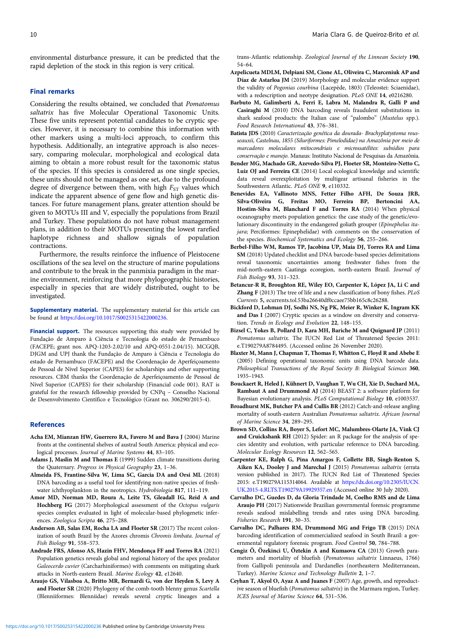<span id="page-9-0"></span>environmental disturbance pressure, it can be predicted that the rapid depletion of the stock in this region is very critical.

### Final remarks

Considering the results obtained, we concluded that Pomatomus saltatrix has five Molecular Operational Taxonomic Units. These five units represent potential candidates to be cryptic species. However, it is necessary to combine this information with other markers using a multi-loci approach, to confirm this hypothesis. Additionally, an integrative approach is also necessary, comparing molecular, morphological and ecological data aiming to obtain a more robust result for the taxonomic status of the species. If this species is considered as one single species, these units should not be managed as one set, due to the profound degree of divergence between them, with high  $F_{ST}$  values which indicate the apparent absence of gene flow and high genetic distances. For future management plans, greater attention should be given to MOTUs III and V, especially the populations from Brazil and Turkey. These populations do not have robust management plans, in addition to their MOTUs presenting the lowest rarefied haplotype richness and shallow signals of population contractions.

Furthermore, the results reinforce the influence of Pleistocene oscillations of the sea level on the structure of marine populations and contribute to the break in the panmixia paradigm in the marine environment, reinforcing that more phylogeographic histories, especially in species that are widely distributed, ought to be investigated.

Supplementary material. The supplementary material for this article can be found at <https://doi.org/10.1017/S0025315422000236>.

Financial support. The resources supporting this study were provided by Fundação de Amparo à Ciência e Tecnologia do estado de Pernambuco (FACEPE; grant nos. APQ-1203-2.02/10 and APQ-0551-2.04/15). MCGQB, DJGM and UPJ thank the Fundação de Amparo à Ciência e Tecnologia do estado de Pernambuco (FACEPE) and the Coordenação de Aperfeiçoamento de Pessoal de Nível Superior (CAPES) for scholarships and other supporting resources. CBM thanks the Coordenação de Aperfeiçoamento de Pessoal de Nível Superior (CAPES) for their scholarship (Financial code 001). RAT is grateful for the research fellowship provided by CNPq – Conselho Nacional de Desenvolvimento Científico e Tecnológico (Grant no. 306290/2015-4).

#### References

- Acha EM, Mianzan HW, Guerrero RA, Favero M and Bava J (2004) Marine fronts at the continental shelves of austral South America: physical and ecological processes. Journal of Marine Systems 44, 83–105.
- Adams J, Maslin M and Thomas E (1999) Sudden climate transitions during the Quaternary. Progress in Physical Geography 23, 1–36.
- Almeida FS, Frantine-Silva W, Lima SC, Garcia DA and Orsi ML (2018) DNA barcoding as a useful tool for identifying non-native species of freshwater ichthyoplankton in the neotropics. Hydrobiologia 817, 111–119.
- Amor MD, Norman MD, Roura A, Leite TS, Gleadall IG, Reid A and Hochberg FG (2017) Morphological assessment of the Octopus vulgaris species complex evaluated in light of molecular-based phylogenetic inferences. Zoologica Scripta 46, 275–288.
- Anderson AB, Salas EM, Rocha LA and Floeter SR (2017) The recent colonization of south Brazil by the Azores chromis Chromis limbata. Journal of Fish Biology 91, 558–573.
- Andrade FRS, Afonso AS, Hazin FHV, Mendonça FF and Torres RA (2021) Population genetics reveals global and regional history of the apex predator Galeocerdo cuvier (Carcharhiniformes) with comments on mitigating shark attacks in North-eastern Brazil. Marine Ecology 42, e12640.
- Araujo GS, Vilasboa A, Britto MR, Bernardi G, von der Heyden S, Levy A and Floeter SR (2020) Phylogeny of the comb-tooth blenny genus Scartella (Blenniiformes: Blenniidae) reveals several cryptic lineages and a

trans-Atlantic relationship. Zoological Journal of the Linnean Society 190, 54–64.

- Azpelicueta MDLM, Delpiani SM, Cione AL, Oliveira C, Marceniuk AP and Díaz de Astarloa JM (2019) Morphology and molecular evidence support the validity of Pogonias courbina (Lacepède, 1803) (Teleostei: Sciaenidae), with a redescription and neotype designation. PLoS ONE 14, e0216280.
- Barbuto M, Galimberti A, Ferri E, Labra M, Malandra R, Galli P and Casiraghi M (2010) DNA barcoding reveals fraudulent substitutions in shark seafood products: the Italian case of "palombo" (Mustelus spp.). Food Research International 43, 376–381.
- Batista JDS (2010) Caracterização genética da dourada- Brachyplatystoma rousseauxii, Castelnau, 1855 (Siluriformes: Pimelodidae) na Amazônia por meio de marcadores moleculares mitocondriais e microssatélites: subsídios para conservação e manejo. Manaus: Instituto Nacional de Pesquisas da Amazônia.
- Bender MG, Machado GR, Azevedo-Silva PJ, Floeter SR, Monteiro-Netto C, Luiz OJ and Ferreira CE (2014) Local ecological knowledge and scientific data reveal overexploitation by multigear artisanal fisheries in the Southwestern Atlantic. PLoS ONE 9, e110332.
- Benevides EA, Vallinoto MNS, Fetter Filho AFH, De Souza JRB, Silva-Oliveira G, Freitas MO, Ferreira BP, Bertoncini AA, Hostim-Silva M, Blanchard F and Torres RA (2014) When physical oceanography meets population genetics: the case study of the genetic/evolutionary discontinuity in the endangered goliath grouper (Epinephelus itajara; Perciformes: Epinephelidae) with comments on the conservation of the species. Biochemical Systematics and Ecology 56, 255–266.
- Berbel-Filho WM, Ramos TP, Jacobina UP, Maia DJ, Torres RA and Lima SM (2018) Updated checklist and DNA barcode-based species delimitations reveal taxonomic uncertainties among freshwater fishes from the mid-north-eastern Caatinga ecoregion, north-eastern Brazil. Journal of Fish Biology 93, 311–323.
- Betancur-R R, Broughton RE, Wiley EO, Carpenter K, López JA, Li C and Zhang F (2013) The tree of life and a new classification of bony fishes. PLoS Currents 5, ecurrents.tol.53ba26640df0ccaee75bb165c8c26288.
- Bickford D, Lohman DJ, Sodhi NS, Ng PK, Meier R, Winker K, Ingram KK and Das I (2007) Cryptic species as a window on diversity and conservation. Trends in Ecology and Evolution 22, 148–155.
- Bizsel C, Yokes B, Pollard D, Kara MH, Bariche M and Quignard JP (2011) Pomatomus saltatrix. The IUCN Red List of Threatened Species 2011: e.T190279A8784495. (Accessed online 26 November 2020).
- Blaxter M, Mann J, Chapman T, Thomas F, Whitton C, Floyd R and Abebe E (2005) Defining operational taxonomic units using DNA barcode data. Philosophical Transactions of the Royal Society B: Biological Sciences 360, 1935–1943.
- Bouckaert R, Heled J, Kühnert D, Vaughan T, Wu CH, Xie D, Suchard MA, Rambaut A and Drummond AJ (2014) BEAST 2: a software platform for Bayesian evolutionary analysis. PLoS Computational Biology 10, e1003537.
- Broadhurst MK, Butcher PA and Cullis BR (2012) Catch-and-release angling mortality of south-eastern Australian Pomatomus saltatrix. African Journal of Marine Science 34, 289–295.
- Brown SD, Collins RA, Boyer S, Lefort MC, Malumbres-Olarte JA, Vink CJ and Cruickshank RH (2012) Spider: an R package for the analysis of species identity and evolution, with particular reference to DNA barcoding. Molecular Ecology Resources 12, 562–565.
- Carpenter KE, Ralph G, Pina Amargos F, Collette BB, Singh-Renton S, Aiken KA, Dooley J and Marechal J (2015) Pomatomus saltatrix (errata version published in 2017). The IUCN Red List of Threatened Species 2015: e.T190279A115314064. Available at [https://dx.doi.org/10.2305/IUCN.](https://dx.doi.org/10.2305/IUCN.UK.2015-4.RLTS.T190279A19929357.en) [UK.2015-4.RLTS.T190279A19929357.en](https://dx.doi.org/10.2305/IUCN.UK.2015-4.RLTS.T190279A19929357.en) (Accessed online 30 July 2020).
- Carvalho DC, Guedes D, da Gloria Trindade M, Coelho RMS and de Lima Araujo PH (2017) Nationwide Brazilian governmental forensic programme reveals seafood mislabelling trends and rates using DNA barcoding. Fisheries Research 191, 30–35.
- Carvalho DC, Palhares RM, Drummond MG and Frigo TB (2015) DNA barcoding identification of commercialized seafood in South Brazil: a governmental regulatory forensic program. Food Control 50, 784–788.
- Cengiz Ö, Özekinci U, Öztekin A and Kumaova CA (2013) Growth parameters and mortality of bluefish (Pomatomus saltatrix Linnaeus, 1766) from Gallipoli peninsula and Dardanelles (northeastern Mediterranean, Turkey). Marine Science and Technology Bulletin 2, 1–7.
- Ceyhan T, Akyol O, Ayaz A and Juanes F (2007) Age, growth, and reproductive season of bluefish (Pomatomus saltatrix) in the Marmara region, Turkey. ICES Journal of Marine Science 64, 531–536.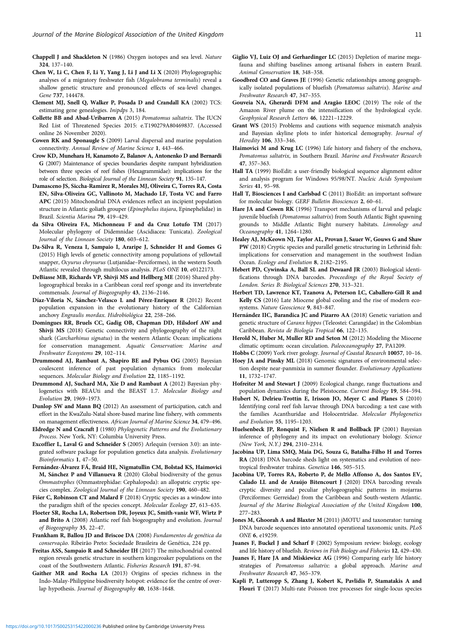- <span id="page-10-0"></span>Chappell J and Shackleton N (1986) Oxygen isotopes and sea level. Nature 324, 137–140.
- Chen W, Li C, Chen F, Li Y, Yang J, Li J and Li X (2020) Phylogeographic analyses of a migratory freshwater fish (Megalobrama terminalis) reveal a shallow genetic structure and pronounced effects of sea-level changes. Gene 737, 144478.
- Clement MJ, Snell Q, Walker P, Posada D and Crandall KA (2002) TCS: estimating gene genealogies. Inipdps 3, 184.
- Collette BB and Abad-Uribarren A (2015) Pomatomus saltatrix. The IUCN Red List of Threatened Species 2015: e.T190279A80469837. (Accessed online 26 November 2020).
- Cowen RK and Sponaugle S (2009) Larval dispersal and marine population connectivity. Annual Review of Marine Science 1, 443–466.
- Crow KD, Munehara H, Kanamoto Z, Balanov A, Antonenko D and Bernardi G (2007) Maintenance of species boundaries despite rampant hybridization between three species of reef fishes (Hexagrammidae): implications for the role of selection. Biological Journal of the Linnean Society 91, 135–147.
- Damasceno JS, Siccha-Ramirez R, Morales MJ, Oliveira C, Torres RA, Costa EN, Silva-Oliveira GC, Vallinoto M, Machado LF, Tosta VC and Farro APC (2015) Mitochondrial DNA evidences reflect an incipient population structure in Atlantic goliath grouper (Epinephelus itajara, Epinephelidae) in Brazil. Scientia Marina 79, 419–429.
- da Silva Oliveira FA, Michonneau F and da Cruz Lotufo TM (2017) Molecular phylogeny of Didemnidae (Ascidiacea: Tunicata). Zoological Journal of the Linnean Society 180, 603–612.
- Da-Silva R, Veneza I, Sampaio I, Araripe J, Schneider H and Gomes G (2015) High levels of genetic connectivity among populations of yellowtail snapper, Ocyurus chrysurus (Lutjanidae–Perciformes), in the western South Atlantic revealed through multilocus analysis. PLoS ONE 10, e0122173.
- DeBiasse MB, Richards VP, Shivji MS and Hellberg ME (2016) Shared phylogeographical breaks in a Caribbean coral reef sponge and its invertebrate commensals. Journal of Biogeography 43, 2136–2146.
- Díaz-Viloria N, Sánchez-Velasco L and Pérez-Enríquez R (2012) Recent population expansion in the evolutionary history of the Californian anchovy Engraulis mordax. Hidrobiológica 22, 258–266.
- Domingues RR, Bruels CC, Gadig OB, Chapman DD, Hilsdorf AW and Shivji MS (2018) Genetic connectivity and phylogeography of the night shark (Carcharhinus signatus) in the western Atlantic Ocean: implications for conservation management. Aquatic Conservation: Marine and Freshwater Ecosystems 29, 102–114.
- Drummond AJ, Rambaut A, Shapiro BE and Pybus OG (2005) Bayesian coalescent inference of past population dynamics from molecular sequences. Molecular Biology and Evolution 22, 1185–1192.
- Drummond AJ, Suchard MA, Xie D and Rambaut A (2012) Bayesian phylogenetics with BEAUti and the BEAST 1.7. Molecular Biology and Evolution 29, 1969–1973.
- Dunlop SW and Mann BQ (2012) An assessment of participation, catch and effort in the KwaZulu-Natal shore-based marine line fishery, with comments on management effectiveness. African Journal of Marine Science 34, 479–496.
- Eldredge N and Cracraft J (1980) Phylogenetic Patterns and the Evolutionary Process. New York, NY: Columbia University Press.
- Excoffier L, Laval G and Schneider S (2005) Arlequin (version 3.0): an integrated software package for population genetics data analysis. Evolutionary Bioinformatics 1, 47–50.
- Fernández-Álvarez FÁ, Braid HE, Nigmatullin CM, Bolstad KS, Haimovici M, Sánchez P and Villanueva R (2020) Global biodiversity of the genus Ommastrephes (Ommastrephidae: Cephalopoda): an allopatric cryptic species complex. Zoological Journal of the Linnean Society 190, 460–482.
- Fišer C, Robinson CT and Malard F (2018) Cryptic species as a window into the paradigm shift of the species concept. Molecular Ecology 27, 613–635.
- Floeter SR, Rocha LA, Robertson DR, Joyeux JC, Smith-vaniz WF, Wirtz P and Brito A (2008) Atlantic reef fish biogeography and evolution. Journal of Biogeography 35, 22–47.
- Frankham R, Ballou JD and Briscoe DA (2008) Fundamentos de genética da conservação. Ribeirão Preto: Sociedade Brasileira de Genética, 224 pp.
- Freitas ASS, Sampaio R and Schneider IH (2017) The mitochondrial control region reveals genetic structure in southern kingcroaker populations on the coast of the Southwestern Atlantic. Fisheries Research 191, 87–94.
- Gaither MR and Rocha LA (2013) Origins of species richness in the Indo-Malay-Philippine biodiversity hotspot: evidence for the centre of overlap hypothesis. Journal of Biogeography 40, 1638–1648.
- Giglio VJ, Luiz OJ and Gerhardinger LC (2015) Depletion of marine megafauna and shifting baselines among artisanal fishers in eastern Brazil. Animal Conservation 18, 348–358.
- Goodbred CO and Graves JE (1996) Genetic relationships among geographically isolated populations of bluefish (Pomatomus saltatrix). Marine and Freshwater Research 47, 347–355.
- Gouveia NA, Gherardi DFM and Aragão LEOC (2019) The role of the Amazon River plume on the intensification of the hydrological cycle. Geophysical Research Letters 46, 12221–12229.
- Grant WS (2015) Problems and cautions with sequence mismatch analysis and Bayesian skyline plots to infer historical demography. Journal of Heredity 106, 333–346.
- Haimovici M and Krug LC (1996) Life history and fishery of the enchova, Pomatomus saltatrix, in Southern Brazil. Marine and Freshwater Research 47, 357–363.
- Hall TA (1999) BioEdit: a user-friendly biological sequence alignment editor and analysis program for Windows 95/98/NT. Nucleic Acids Symposium Series 41, 95–98.
- Hall T, Biosciences I and Carlsbad C (2011) BioEdit: an important software for molecular biology. GERF Bulletin Biosciences 2, 60–61.
- Hare JA and Cowen RK (1996) Transport mechanisms of larval and pelagic juvenile bluefish (Pomatomus saltatrix) from South Atlantic Bight spawning grounds to Middle Atlantic Bight nursery habitats. Limnology and Oceanography 41, 1264–1280.
- Healey AJ, McKeown NJ, Taylor AL, Provan J, Sauer W, Gouws G and Shaw PW (2018) Cryptic species and parallel genetic structuring in Lethrinid fish: implications for conservation and management in the southwest Indian Ocean. Ecology and Evolution 8, 2182–2195.
- Hebert PD, Cywinska A, Ball SL and Dewaard JR (2003) Biological identifications through DNA barcodes. Proceedings of the Royal Society of London. Series B: Biological Sciences 270, 313–321.
- Herbert TD, Lawrence KT, Tzanova A, Peterson LC, Caballero-Gill R and Kelly CS (2016) Late Miocene global cooling and the rise of modern ecosystems. Nature Geoscience 9, 843–847.
- Hernández IIC, Barandica JC and Pizarro AA (2018) Genetic variation and genetic structure of Caranx hippos (Teleostei: Carangidae) in the Colombian Caribbean. Revista de Biología Tropical 66, 122–135.
- Herold N, Huber M, Muller RD and Seton M (2012) Modeling the Miocene climatic optimum: ocean circulation. Paleoceanography 27, PA1209.
- Hobbs C (2009) York river geology. Journal of Coastal Research 10057, 10–16. Hoey JA and Pinsky ML (2018) Genomic signatures of environmental selection despite near-panmixia in summer flounder. Evolutionary Applications
- 11, 1732–1747. Hofreiter M and Stewart J (2009) Ecological change, range fluctuations and population dynamics during the Pleistocene. Current Biology 19, 584–594.
- Hubert N, Delrieu-Trottin E, Irisson JO, Meyer C and Planes S (2010) Identifying coral reef fish larvae through DNA barcoding: a test case with the families Acanthuridae and Holocentridae. Molecular Phylogenetics and Evolution 55, 1195–1203.
- Huelsenbeck JP, Ronquist F, Nielsen R and Bollback JP (2001) Bayesian inference of phylogeny and its impact on evolutionary biology. Science (New York, N.Y.) 294, 2310–2314.
- Jacobina UP, Lima SMQ, Maia DG, Souza G, Batalha-Filho H and Torres RA (2018) DNA barcode sheds light on systematics and evolution of neotropical freshwater trahiras. Genetica 146, 505–515.
- Jacobina UP, Torres RA, Roberto P, de Mello Affonso A, dos Santos EV, Calado LL and de Araújo Bitencourt J (2020) DNA barcoding reveals cryptic diversity and peculiar phylogeographic patterns in mojarras (Perciformes: Gerreidae) from the Caribbean and South-western Atlantic. Journal of the Marine Biological Association of the United Kingdom 100, 277–283.
- Jones M, Ghoorah A and Blaxter M (2011) jMOTU and taxonerator: turning DNA barcode sequences into annotated operational taxonomic units. PLoS ONE 6, e19259.
- Juanes F, Buckel J and Scharf F (2002) Symposium review: biology, ecology and life history of bluefish. Reviews in Fish Biology and Fisheries 12, 429–430.
- Juanes F, Hare JA and Miskiewicz AG (1996) Comparing early life history strategies of Pomatomus saltatrix: a global approach. Marine and Freshwater Research 47, 365–379.
- Kapli P, Lutteropp S, Zhang J, Kobert K, Pavlidis P, Stamatakis A and Flouri T (2017) Multi-rate Poisson tree processes for single-locus species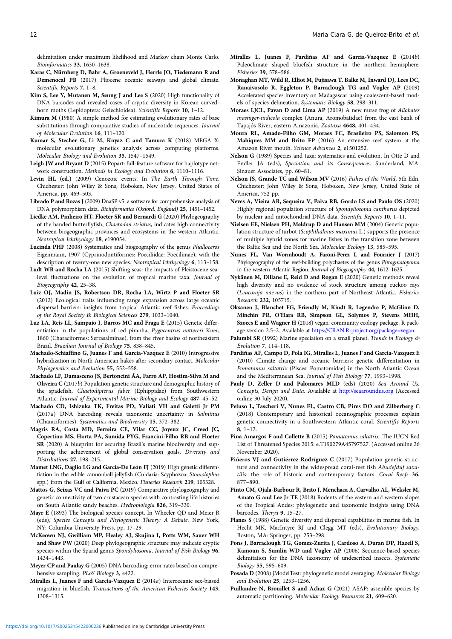<span id="page-11-0"></span>delimitation under maximum likelihood and Markov chain Monte Carlo. Bioinformatics 33, 1630–1638.

- Karas C, Nürnberg D, Bahr A, Groeneveld J, Herrle JO, Tiedemann R and Demenocal PB (2017) Pliocene oceanic seaways and global climate. Scientific Reports 7, 1–8.
- Kim S, Lee Y, Mutanen M, Seung J and Lee S (2020) High functionality of DNA barcodes and revealed cases of cryptic diversity in Korean curvedhorn moths (Lepidoptera: Gelechioidea). Scientific Reports 10, 1-12.
- Kimura M (1980) A simple method for estimating evolutionary rates of base substitutions through comparative studies of nucleotide sequences. Journal of Molecular Evolution 16, 111–120.
- Kumar S, Stecher G, Li M, Knyaz C and Tamura K (2018) MEGA X: molecular evolutionary genetics analysis across computing platforms. Molecular Biology and Evolution 35, 1547–1549.
- Leigh JW and Bryant D (2015) Popart: full-feature software for haplotype network construction. Methods in Ecology and Evolution 6, 1110–1116.
- Levin HL (ed.) (2009) Cenozoic events. In The Earth Through Time. Chichester: John Wiley & Sons, Hoboken, New Jersey, United States of America, pp. 469–503.
- Librado P and Rozas J (2009) DnaSP v5: a software for comprehensive analysis of DNA polymorphism data. Bioinformatics (Oxford, England) 25, 1451–1452.
- Liedke AM, Pinheiro HT, Floeter SR and Bernardi G (2020) Phylogeography of the banded butterflyfish, Chaetodon striatus, indicates high connectivity between biogeographic provinces and ecosystems in the western Atlantic. Neotropical Ichthyology 18, e190054.
- Lucinda PHF (2008) Systematics and biogeography of the genus Phalloceros Eigenmann, 1907 (Cyprinodontiformes: Poeciliidae: Poeciliinae), with the description of twenty-one new species. Neotropical Ichthyology 6, 113–158.
- Ludt WB and Rocha LA (2015) Shifting seas: the impacts of Pleistocene sealevel fluctuations on the evolution of tropical marine taxa. Journal of Biogeography 42, 25–38.
- Luiz OJ, Madin JS, Robertson DR, Rocha LA, Wirtz P and Floeter SR (2012) Ecological traits influencing range expansion across large oceanic dispersal barriers: insights from tropical Atlantic reef fishes. Proceedings of the Royal Society B: Biological Sciences 279, 1033–1040.
- Luz LA, Reis LL, Sampaio I, Barros MC and Fraga E (2015) Genetic differentiation in the populations of red piranha, Pygocentrus nattereri Kner, 1860 (Characiformes: Serrasalminae), from the river basins of northeastern Brazil. Brazilian Journal of Biology 75, 838–845.
- Machado-Schiaffino G, Juanes F and Garcia-Vazquez E (2010) Introgressive hybridization in North American hakes after secondary contact. Molecular Phylogenetics and Evolution 55, 552–558.
- Machado LF, Damasceno JS, Bertoncini ÁA, Farro AP, Hostim-Silva M and Oliveira C (2017b) Population genetic structure and demographic history of the spadefish, Chaetodipterus faber (Ephippidae) from Southwestern Atlantic. Journal of Experimental Marine Biology and Ecology 487, 45–52.
- Machado CD, Ishizuka TK, Freitas PD, Valiati VH and Galetti Jr PM (2017a) DNA barcoding reveals taxonomic uncertainty in Salminus (Characiformes). Systematics and Biodiversity 15, 372–382.
- Magris RA, Costa MD, Ferreira CE, Vilar CC, Joyeux JC, Creed JC, Copertino MS, Horta PA, Sumida PYG, Francini-Filho RB and Floeter SR (2020) A blueprint for securing Brazil's marine biodiversity and supporting the achievement of global conservation goals. Diversity and Distributions 27, 198–215.
- Mamet LNG, Daglio LG and García-De León FJ (2019) High genetic differentiation in the edible cannonball jellyfish (Cnidaria: Scyphozoa: Stomolophus spp.) from the Gulf of California, Mexico. Fisheries Research 219, 105328.
- Mattos G, Seixas VC and Paiva PC (2019) Comparative phylogeography and genetic connectivity of two crustacean species with contrasting life histories on South Atlantic sandy beaches. Hydrobiologia 826, 319–330.
- Mayr E (1893) The biological species concept. In Wheeler QD and Meier R (eds), Species Concepts and Phylogenetic Theory: A Debate. New York, NY: Columbia University Press, pp. 17–29.
- McKeown NJ, Gwilliam MP, Healey AJ, Skujina I, Potts WM, Sauer WH and Shaw PW (2020) Deep phylogeographic structure may indicate cryptic species within the Sparid genus Spondyliosoma. Journal of Fish Biology 96, 1434–1443.
- Meyer CP and Paulay G (2005) DNA barcoding: error rates based on comprehensive sampling. PLoS Biology 3, e422.
- Miralles L, Juanes F and Garcia-Vazquez E (2014a) Interoceanic sex-biased migration in bluefish. Transactions of the American Fisheries Society 143, 1308–1315.
- Miralles L, Juanes F, Pardiñas AF and Garcia-Vazquez E (2014b) Paleoclimate shaped bluefish structure in the northern hemisphere. Fisheries 39, 578–586.
- Monaghan MT, Wild R, Elliot M, Fujisawa T, Balke M, Inward DJ, Lees DC, Ranaivosolo R, Eggleton P, Barraclough TG and Vogler AP (2009) Accelerated species inventory on Madagascar using coalescent-based models of species delineation. Systematic Biology 58, 298–311.
- Moraes LJCL, Pavan D and Lima AP (2019) A new nurse frog of Allobates masniger-nidicola complex (Anura, Aromobatidae) from the east bank of Tapajós River, eastern Amazonia. Zootaxa 4648, 401–434.
- Moura RL, Amado-Filho GM, Moraes FC, Brasileiro PS, Salomon PS, Mahiques MM and Brito FP (2016) An extensive reef system at the Amazon River mouth. Science Advances 2, e1501252.
- Nelson G (1989) Species and taxa: systematics and evolution. In Otte D and Endler JA (eds), Speciation and its Consequences. Sunderland, MA: Sinauer Associates, pp. 60–81.
- Nelson JS, Grande TC and Wilson MV (2016) Fishes of the World, 5th Edn. Chichester: John Wiley & Sons, Hoboken, New Jersey, United State of America, 752 pp.
- Neves A, Vieira AR, Sequeira V, Paiva RB, Gordo LS and Paulo OS (2020) Highly regional population structure of Spondyliosoma cantharus depicted by nuclear and mitochondrial DNA data. Scientific Reports 10, 1–11.
- Nielsen EE, Nielsen PH, Meldrup D and Hansen MM (2004) Genetic population structure of turbot (Scophthalmus maximus L.) supports the presence of multiple hybrid zones for marine fishes in the transition zone between the Baltic Sea and the North Sea. Molecular Ecology 13, 585–595.
- Nunes FL, Van Wormhoudt A, Faroni-Perez L and Fournier J (2017) Phylogeography of the reef-building polychaetes of the genus Phragmatopoma in the western Atlantic Region. Journal of Biogeography 44, 1612–1625.
- Nykänen M, Dillane E, Reid D and Rogan E (2020) Genetic methods reveal high diversity and no evidence of stock structure among cuckoo rays (Leucoraja naevus) in the northern part of Northeast Atlantic. Fisheries Research 232, 105715.
- Oksanen J, Blanchet FG, Friendly M, Kindt R, Legendre P, McGlinn D, Minchin PR, O'Hara RB, Simpson GL, Solymos P, Stevens MHH, Szoecs E and Wagner H (2018) vegan: community ecology package. R package version 2.5–2. Available at [https://CRAN.R-project.org/package=vegan.](https://CRAN.R-project.org/package=vegan)
- Palumbi SR (1992) Marine speciation on a small planet. Trends in Ecology & Evolution 7, 114–118.
- Pardiñas AF, Campo D, Pola IG, Miralles L, Juanes F and Garcia-Vazquez E (2010) Climate change and oceanic barriers: genetic differentiation in Pomatomus saltatrix (Pisces: Pomatomidae) in the North Atlantic Ocean and the Mediterranean Sea. Journal of Fish Biology 77, 1993–1998.
- Pauly D, Zeller D and Palomares MLD (eds) (2020) Sea Around Us: Concepts, Design and Data. Available at <http://seaaroundus.org> (Accessed online 30 July 2020).
- Peluso L, Tascheri V, Nunes FL, Castro CB, Pires DO and Zilberberg C (2018) Contemporary and historical oceanographic processes explain genetic connectivity in a Southwestern Atlantic coral. Scientific Reports 8, 1–12.
- Pina Amargos F and Collette B (2015) Pomatomus saltatrix. The IUCN Red List of Threatened Species 2015: e.T190279A45797527. (Accessed online 26 November 2020).
- Piñeros VJ and Gutiérrez-Rodríguez C (2017) Population genetic structure and connectivity in the widespread coral-reef fish Abudefduf saxatilis: the role of historic and contemporary factors. Coral Reefs 36, 877–890.
- Pinto CM, Ojala-Barbour R, Brito J, Menchaca A, Carvalho AL, Weksler M, Amato G and Lee Jr TE (2018) Rodents of the eastern and western slopes of the Tropical Andes: phylogenetic and taxonomic insights using DNA barcodes. Therya 9, 15–27.
- Planes S (1988) Genetic diversity and dispersal capabilities in marine fish. In Hecht MK, MacIntyre RJ and Clegg MT (eds), Evolutionary Biology. Boston, MA: Springer, pp. 253–298.
- Pons J, Barraclough TG, Gomez-Zurita J, Cardoso A, Duran DP, Hazell S, Kamoun S, Sumlin WD and Vogler AP (2006) Sequence-based species delimitation for the DNA taxonomy of undescribed insects. Systematic Biology 55, 595–609.
- Posada D (2008) jModelTest: phylogenetic model averaging. Molecular Biology and Evolution 25, 1253–1256.
- Puillandre N, Brouillet S and Achaz G (2021) ASAP: assemble species by automatic partitioning. Molecular Ecology Resources 21, 609–620.